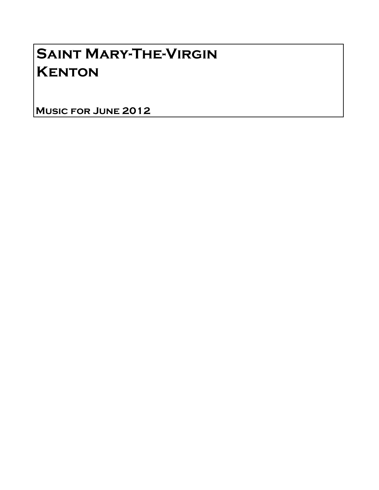# Saint Mary-The-Virgin **KENTON**

Music for June 2012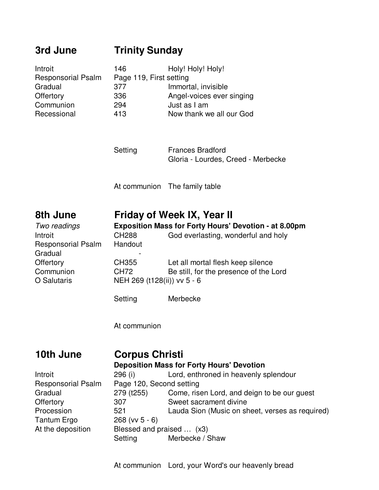# **3rd June Trinity Sunday**

| Introit                   | 146                     | Holy! Holy! Holy!         |
|---------------------------|-------------------------|---------------------------|
| <b>Responsorial Psalm</b> | Page 119, First setting |                           |
| Gradual                   | 377                     | Immortal, invisible       |
| Offertory                 | 336                     | Angel-voices ever singing |
| Communion                 | 294                     | Just as I am              |
| Recessional               | 413                     | Now thank we all our God  |

Setting **Frances Bradford** Gloria - Lourdes, Creed - Merbecke

At communion The family table

### **8th June Friday of Week IX, Year II**

| Two readings              | <b>Exposition Mass for Forty Hours' Devotion - at 8.00pm</b> |                                        |  |
|---------------------------|--------------------------------------------------------------|----------------------------------------|--|
| Introit                   | <b>CH288</b>                                                 | God everlasting, wonderful and holy    |  |
| <b>Responsorial Psalm</b> | Handout                                                      |                                        |  |
| Gradual                   |                                                              |                                        |  |
| Offertory                 | <b>CH355</b>                                                 | Let all mortal flesh keep silence      |  |
| Communion                 | <b>CH72</b>                                                  | Be still, for the presence of the Lord |  |
| O Salutaris               | NEH 269 (t128(ii)) vv 5 - 6                                  |                                        |  |
|                           |                                                              |                                        |  |
|                           | Setting                                                      | Merbecke                               |  |

At communion

#### **10th June Corpus Christi Deposition Mass for Forty Hours' Devotion** Introit 296 (i) Lord, enthroned in heavenly splendour Responsorial Psalm Page 120, Second setting Gradual 279 (t255) Come, risen Lord, and deign to be our guest Offertory 307 Sweet sacrament divine Procession 521 Lauda Sion (Music on sheet, verses as required) Tantum Ergo 268 (vv 5 - 6) At the deposition Blessed and praised ... (x3) Setting Merbecke / Shaw